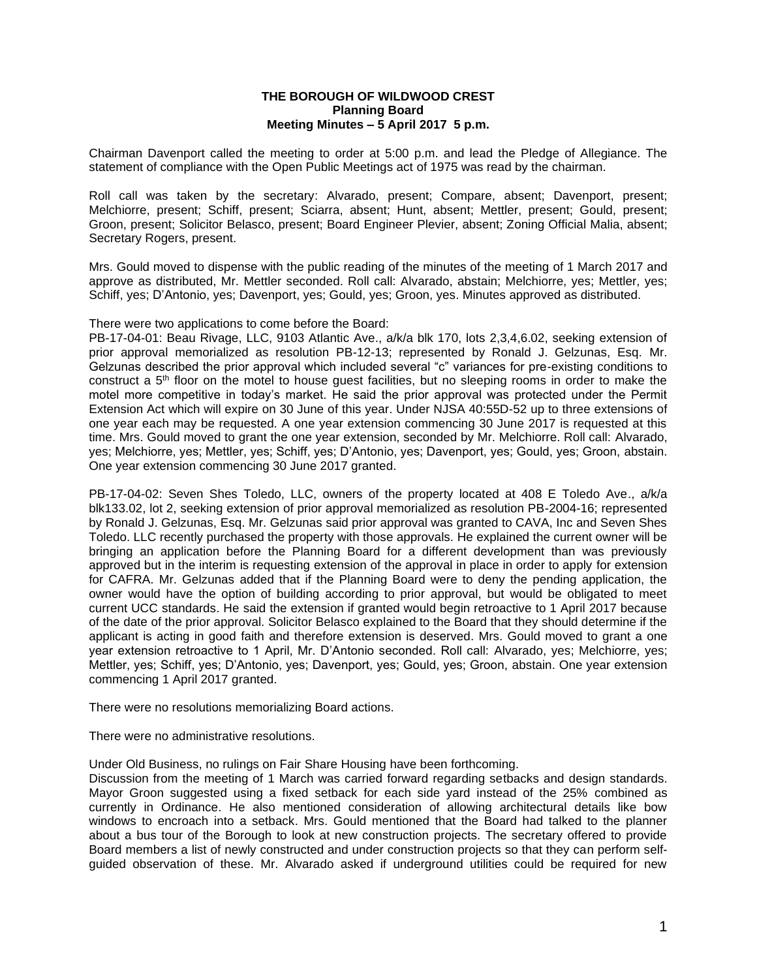## **THE BOROUGH OF WILDWOOD CREST Planning Board Meeting Minutes – 5 April 2017 5 p.m.**

Chairman Davenport called the meeting to order at 5:00 p.m. and lead the Pledge of Allegiance. The statement of compliance with the Open Public Meetings act of 1975 was read by the chairman.

Roll call was taken by the secretary: Alvarado, present; Compare, absent; Davenport, present; Melchiorre, present; Schiff, present; Sciarra, absent; Hunt, absent; Mettler, present; Gould, present; Groon, present; Solicitor Belasco, present; Board Engineer Plevier, absent; Zoning Official Malia, absent; Secretary Rogers, present.

Mrs. Gould moved to dispense with the public reading of the minutes of the meeting of 1 March 2017 and approve as distributed, Mr. Mettler seconded. Roll call: Alvarado, abstain; Melchiorre, yes; Mettler, yes; Schiff, yes; D'Antonio, yes; Davenport, yes; Gould, yes; Groon, yes. Minutes approved as distributed.

There were two applications to come before the Board:

PB-17-04-01: Beau Rivage, LLC, 9103 Atlantic Ave., a/k/a blk 170, lots 2,3,4,6.02, seeking extension of prior approval memorialized as resolution PB-12-13; represented by Ronald J. Gelzunas, Esq. Mr. Gelzunas described the prior approval which included several "c" variances for pre-existing conditions to construct a 5th floor on the motel to house guest facilities, but no sleeping rooms in order to make the motel more competitive in today's market. He said the prior approval was protected under the Permit Extension Act which will expire on 30 June of this year. Under NJSA 40:55D-52 up to three extensions of one year each may be requested. A one year extension commencing 30 June 2017 is requested at this time. Mrs. Gould moved to grant the one year extension, seconded by Mr. Melchiorre. Roll call: Alvarado, yes; Melchiorre, yes; Mettler, yes; Schiff, yes; D'Antonio, yes; Davenport, yes; Gould, yes; Groon, abstain. One year extension commencing 30 June 2017 granted.

PB-17-04-02: Seven Shes Toledo, LLC, owners of the property located at 408 E Toledo Ave., a/k/a blk133.02, lot 2, seeking extension of prior approval memorialized as resolution PB-2004-16; represented by Ronald J. Gelzunas, Esq. Mr. Gelzunas said prior approval was granted to CAVA, Inc and Seven Shes Toledo. LLC recently purchased the property with those approvals. He explained the current owner will be bringing an application before the Planning Board for a different development than was previously approved but in the interim is requesting extension of the approval in place in order to apply for extension for CAFRA. Mr. Gelzunas added that if the Planning Board were to deny the pending application, the owner would have the option of building according to prior approval, but would be obligated to meet current UCC standards. He said the extension if granted would begin retroactive to 1 April 2017 because of the date of the prior approval. Solicitor Belasco explained to the Board that they should determine if the applicant is acting in good faith and therefore extension is deserved. Mrs. Gould moved to grant a one year extension retroactive to 1 April, Mr. D'Antonio seconded. Roll call: Alvarado, yes; Melchiorre, yes; Mettler, yes; Schiff, yes; D'Antonio, yes; Davenport, yes; Gould, yes; Groon, abstain. One year extension commencing 1 April 2017 granted.

There were no resolutions memorializing Board actions.

There were no administrative resolutions.

Under Old Business, no rulings on Fair Share Housing have been forthcoming.

Discussion from the meeting of 1 March was carried forward regarding setbacks and design standards. Mayor Groon suggested using a fixed setback for each side yard instead of the 25% combined as currently in Ordinance. He also mentioned consideration of allowing architectural details like bow windows to encroach into a setback. Mrs. Gould mentioned that the Board had talked to the planner about a bus tour of the Borough to look at new construction projects. The secretary offered to provide Board members a list of newly constructed and under construction projects so that they can perform selfguided observation of these. Mr. Alvarado asked if underground utilities could be required for new